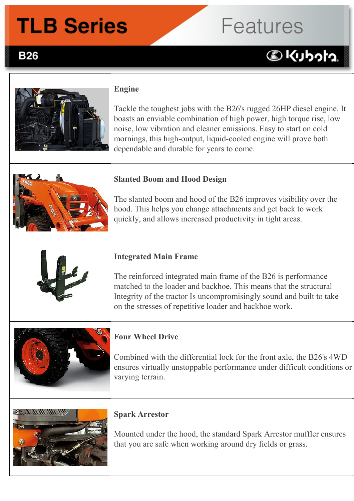## **TLB Series**

# **Features**

**BKUbota** 

### **B26**



### **Engine**

Tackle the toughest jobs with the B26's rugged 26HP diesel engine. It boasts an enviable combination of high power, high torque rise, low noise, low vibration and cleaner emissions. Easy to start on cold mornings, this high-output, liquid-cooled engine will prove both dependable and durable for years to come.



### **Slanted Boom and Hood Design**

The slanted boom and hood of the B26 improves visibility over the hood. This helps you change attachments and get back to work quickly, and allows increased productivity in tight areas.



### **Integrated Main Frame**

The reinforced integrated main frame of the B26 is performance matched to the loader and backhoe. This means that the structural Integrity of the tractor Is uncompromisingly sound and built to take on the stresses of repetitive loader and backhoe work.



### **Four Wheel Drive**

Combined with the differential lock for the front axle, the B26's 4WD ensures virtually unstoppable performance under difficult conditions or varying terrain.



### **Spark Arrestor**

Mounted under the hood, the standard Spark Arrestor muffler ensures that you are safe when working around dry fields or grass.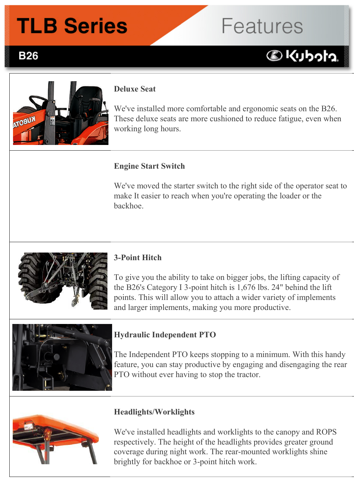## **TLB Series**

## **Features**

## **BKUbota**



**B26** 

### **Deluxe Seat**

We've installed more comfortable and ergonomic seats on the B26. These deluxe seats are more cushioned to reduce fatigue, even when working long hours.

### **Engine Start Switch**

We've moved the starter switch to the right side of the operator seat to make It easier to reach when you're operating the loader or the backhoe.



#### **3-Point Hitch**

To give you the ability to take on bigger jobs, the lifting capacity of the B26's Category I 3-point hitch is 1,676 lbs. 24" behind the lift points. This will allow you to attach a wider variety of implements and larger implements, making you more productive.



### **Hydraulic Independent PTO**

The Independent PTO keeps stopping to a minimum. With this handy feature, you can stay productive by engaging and disengaging the rear PTO without ever having to stop the tractor.



### **Headlights/Worklights**

We've installed headlights and worklights to the canopy and ROPS respectively. The height of the headlights provides greater ground coverage during night work. The rear-mounted worklights shine brightly for backhoe or 3-point hitch work.